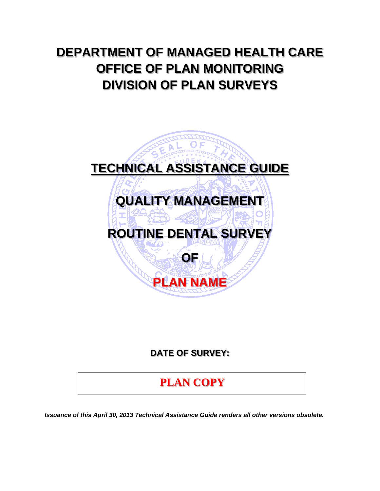# **DEPARTMENT OF MANAGED HEALTH CARE OFFICE OF PLAN MONITORING DIVISION OF PLAN SURVEYS**



## **DATE OF SURVEY:**

# **PLAN COPY**

*Issuance of this April 30, 2013 Technical Assistance Guide renders all other versions obsolete.*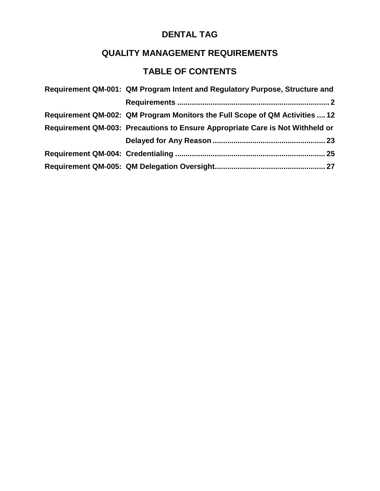## **QUALITY MANAGEMENT REQUIREMENTS**

## **TABLE OF CONTENTS**

| Requirement QM-001: QM Program Intent and Regulatory Purpose, Structure and   |
|-------------------------------------------------------------------------------|
|                                                                               |
| Requirement QM-002: QM Program Monitors the Full Scope of QM Activities  12   |
| Requirement QM-003: Precautions to Ensure Appropriate Care is Not Withheld or |
|                                                                               |
|                                                                               |
|                                                                               |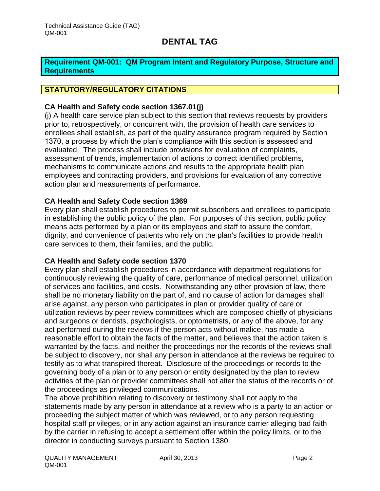#### <span id="page-2-0"></span>**Requirement QM-001: QM Program Intent and Regulatory Purpose, Structure and Requirements**

### **STATUTORY/REGULATORY CITATIONS**

#### **CA Health and Safety code section 1367.01(j)**

(j) A health care service plan subject to this section that reviews requests by providers prior to, retrospectively, or concurrent with, the provision of health care services to enrollees shall establish, as part of the quality assurance program required by Section 1370, a process by which the plan's compliance with this section is assessed and evaluated. The process shall include provisions for evaluation of complaints, assessment of trends, implementation of actions to correct identified problems, mechanisms to communicate actions and results to the appropriate health plan employees and contracting providers, and provisions for evaluation of any corrective action plan and measurements of performance.

#### **CA Health and Safety Code section 1369**

Every plan shall establish procedures to permit subscribers and enrollees to participate in establishing the public policy of the plan. For purposes of this section, public policy means acts performed by a plan or its employees and staff to assure the comfort, dignity, and convenience of patients who rely on the plan's facilities to provide health care services to them, their families, and the public.

#### **CA Health and Safety code section 1370**

Every plan shall establish procedures in accordance with department regulations for continuously reviewing the quality of care, performance of medical personnel, utilization of services and facilities, and costs. Notwithstanding any other provision of law, there shall be no monetary liability on the part of, and no cause of action for damages shall arise against, any person who participates in plan or provider quality of care or utilization reviews by peer review committees which are composed chiefly of physicians and surgeons or dentists, psychologists, or optometrists, or any of the above, for any act performed during the reviews if the person acts without malice, has made a reasonable effort to obtain the facts of the matter, and believes that the action taken is warranted by the facts, and neither the proceedings nor the records of the reviews shall be subject to discovery, nor shall any person in attendance at the reviews be required to testify as to what transpired thereat. Disclosure of the proceedings or records to the governing body of a plan or to any person or entity designated by the plan to review activities of the plan or provider committees shall not alter the status of the records or of the proceedings as privileged communications.

The above prohibition relating to discovery or testimony shall not apply to the statements made by any person in attendance at a review who is a party to an action or proceeding the subject matter of which was reviewed, or to any person requesting hospital staff privileges, or in any action against an insurance carrier alleging bad faith by the carrier in refusing to accept a settlement offer within the policy limits, or to the director in conducting surveys pursuant to Section 1380.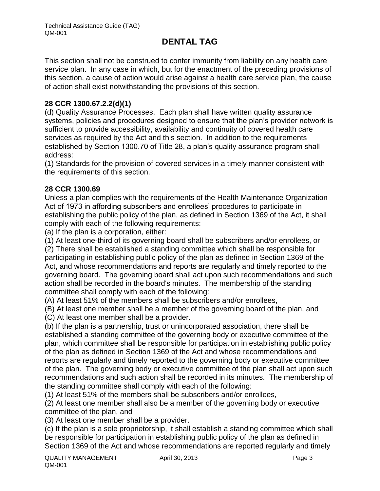This section shall not be construed to confer immunity from liability on any health care service plan. In any case in which, but for the enactment of the preceding provisions of this section, a cause of action would arise against a health care service plan, the cause of action shall exist notwithstanding the provisions of this section.

### **28 CCR 1300.67.2.2(d)(1)**

(d) Quality Assurance Processes. Each plan shall have written quality assurance systems, policies and procedures designed to ensure that the plan's provider network is sufficient to provide accessibility, availability and continuity of covered health care services as required by the Act and this section. In addition to the requirements established by Section 1300.70 of Title 28, a plan's quality assurance program shall address:

(1) Standards for the provision of covered services in a timely manner consistent with the requirements of this section.

### **28 CCR 1300.69**

Unless a plan complies with the requirements of the Health Maintenance Organization Act of 1973 in affording subscribers and enrollees' procedures to participate in establishing the public policy of the plan, as defined in Section 1369 of the Act, it shall comply with each of the following requirements:

(a) If the plan is a corporation, either:

(1) At least one-third of its governing board shall be subscribers and/or enrollees, or

(2) There shall be established a standing committee which shall be responsible for participating in establishing public policy of the plan as defined in Section 1369 of the Act, and whose recommendations and reports are regularly and timely reported to the governing board. The governing board shall act upon such recommendations and such action shall be recorded in the board's minutes. The membership of the standing committee shall comply with each of the following:

(A) At least 51% of the members shall be subscribers and/or enrollees,

(B) At least one member shall be a member of the governing board of the plan, and

(C) At least one member shall be a provider.

(b) If the plan is a partnership, trust or unincorporated association, there shall be established a standing committee of the governing body or executive committee of the plan, which committee shall be responsible for participation in establishing public policy of the plan as defined in Section 1369 of the Act and whose recommendations and reports are regularly and timely reported to the governing body or executive committee of the plan. The governing body or executive committee of the plan shall act upon such recommendations and such action shall be recorded in its minutes. The membership of the standing committee shall comply with each of the following:

(1) At least 51% of the members shall be subscribers and/or enrollees,

(2) At least one member shall also be a member of the governing body or executive committee of the plan, and

(3) At least one member shall be a provider.

(c) If the plan is a sole proprietorship, it shall establish a standing committee which shall be responsible for participation in establishing public policy of the plan as defined in Section 1369 of the Act and whose recommendations are reported regularly and timely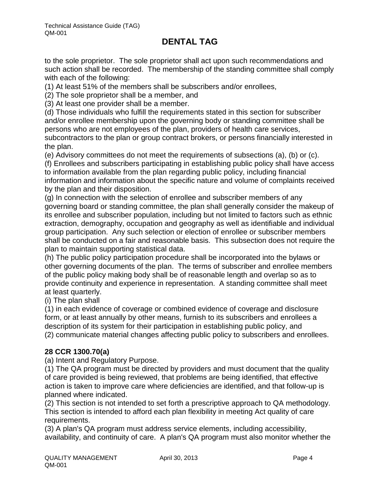to the sole proprietor. The sole proprietor shall act upon such recommendations and such action shall be recorded. The membership of the standing committee shall comply with each of the following:

(1) At least 51% of the members shall be subscribers and/or enrollees,

(2) The sole proprietor shall be a member, and

(3) At least one provider shall be a member.

(d) Those individuals who fulfill the requirements stated in this section for subscriber and/or enrollee membership upon the governing body or standing committee shall be persons who are not employees of the plan, providers of health care services, subcontractors to the plan or group contract brokers, or persons financially interested in the plan.

(e) Advisory committees do not meet the requirements of subsections (a), (b) or (c).

(f) Enrollees and subscribers participating in establishing public policy shall have access to information available from the plan regarding public policy, including financial information and information about the specific nature and volume of complaints received by the plan and their disposition.

(g) In connection with the selection of enrollee and subscriber members of any governing board or standing committee, the plan shall generally consider the makeup of its enrollee and subscriber population, including but not limited to factors such as ethnic extraction, demography, occupation and geography as well as identifiable and individual group participation. Any such selection or election of enrollee or subscriber members shall be conducted on a fair and reasonable basis. This subsection does not require the plan to maintain supporting statistical data.

(h) The public policy participation procedure shall be incorporated into the bylaws or other governing documents of the plan. The terms of subscriber and enrollee members of the public policy making body shall be of reasonable length and overlap so as to provide continuity and experience in representation. A standing committee shall meet at least quarterly.

(i) The plan shall

(1) in each evidence of coverage or combined evidence of coverage and disclosure form, or at least annually by other means, furnish to its subscribers and enrollees a description of its system for their participation in establishing public policy, and (2) communicate material changes affecting public policy to subscribers and enrollees.

### **28 CCR 1300.70(a)**

(a) Intent and Regulatory Purpose.

(1) The QA program must be directed by providers and must document that the quality of care provided is being reviewed, that problems are being identified, that effective action is taken to improve care where deficiencies are identified, and that follow-up is planned where indicated.

(2) This section is not intended to set forth a prescriptive approach to QA methodology. This section is intended to afford each plan flexibility in meeting Act quality of care requirements.

(3) A plan's QA program must address service elements, including accessibility, availability, and continuity of care. A plan's QA program must also monitor whether the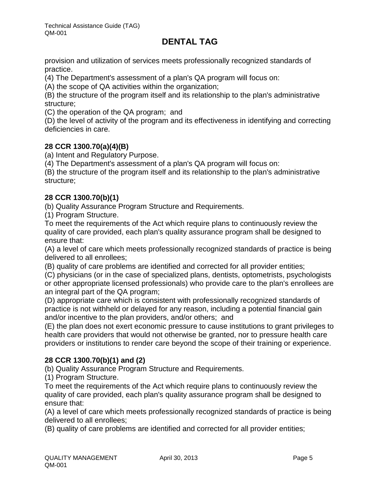provision and utilization of services meets professionally recognized standards of practice.

(4) The Department's assessment of a plan's QA program will focus on:

(A) the scope of QA activities within the organization;

(B) the structure of the program itself and its relationship to the plan's administrative structure;

(C) the operation of the QA program; and

(D) the level of activity of the program and its effectiveness in identifying and correcting deficiencies in care.

### **28 CCR 1300.70(a)(4)(B)**

(a) Intent and Regulatory Purpose.

(4) The Department's assessment of a plan's QA program will focus on:

(B) the structure of the program itself and its relationship to the plan's administrative structure;

### **28 CCR 1300.70(b)(1)**

(b) Quality Assurance Program Structure and Requirements.

(1) Program Structure.

To meet the requirements of the Act which require plans to continuously review the quality of care provided, each plan's quality assurance program shall be designed to ensure that:

(A) a level of care which meets professionally recognized standards of practice is being delivered to all enrollees;

(B) quality of care problems are identified and corrected for all provider entities;

(C) physicians (or in the case of specialized plans, dentists, optometrists, psychologists or other appropriate licensed professionals) who provide care to the plan's enrollees are an integral part of the QA program;

(D) appropriate care which is consistent with professionally recognized standards of practice is not withheld or delayed for any reason, including a potential financial gain and/or incentive to the plan providers, and/or others; and

(E) the plan does not exert economic pressure to cause institutions to grant privileges to health care providers that would not otherwise be granted, nor to pressure health care providers or institutions to render care beyond the scope of their training or experience.

### **28 CCR 1300.70(b)(1) and (2)**

(b) Quality Assurance Program Structure and Requirements.

(1) Program Structure.

To meet the requirements of the Act which require plans to continuously review the quality of care provided, each plan's quality assurance program shall be designed to ensure that:

(A) a level of care which meets professionally recognized standards of practice is being delivered to all enrollees;

(B) quality of care problems are identified and corrected for all provider entities;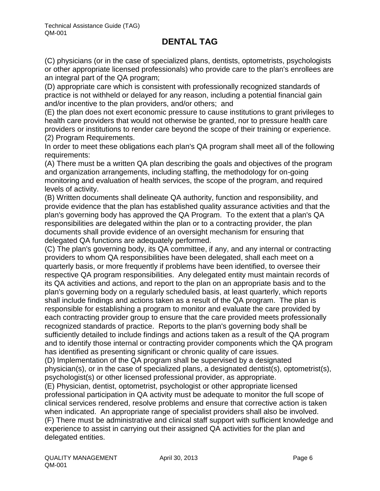(C) physicians (or in the case of specialized plans, dentists, optometrists, psychologists or other appropriate licensed professionals) who provide care to the plan's enrollees are an integral part of the QA program;

(D) appropriate care which is consistent with professionally recognized standards of practice is not withheld or delayed for any reason, including a potential financial gain and/or incentive to the plan providers, and/or others; and

(E) the plan does not exert economic pressure to cause institutions to grant privileges to health care providers that would not otherwise be granted, nor to pressure health care providers or institutions to render care beyond the scope of their training or experience. (2) Program Requirements.

In order to meet these obligations each plan's QA program shall meet all of the following requirements:

(A) There must be a written QA plan describing the goals and objectives of the program and organization arrangements, including staffing, the methodology for on-going monitoring and evaluation of health services, the scope of the program, and required levels of activity.

(B) Written documents shall delineate QA authority, function and responsibility, and provide evidence that the plan has established quality assurance activities and that the plan's governing body has approved the QA Program. To the extent that a plan's QA responsibilities are delegated within the plan or to a contracting provider, the plan documents shall provide evidence of an oversight mechanism for ensuring that delegated QA functions are adequately performed.

(C) The plan's governing body, its QA committee, if any, and any internal or contracting providers to whom QA responsibilities have been delegated, shall each meet on a quarterly basis, or more frequently if problems have been identified, to oversee their respective QA program responsibilities. Any delegated entity must maintain records of its QA activities and actions, and report to the plan on an appropriate basis and to the plan's governing body on a regularly scheduled basis, at least quarterly, which reports shall include findings and actions taken as a result of the QA program. The plan is responsible for establishing a program to monitor and evaluate the care provided by each contracting provider group to ensure that the care provided meets professionally recognized standards of practice. Reports to the plan's governing body shall be sufficiently detailed to include findings and actions taken as a result of the QA program and to identify those internal or contracting provider components which the QA program has identified as presenting significant or chronic quality of care issues.

(D) Implementation of the QA program shall be supervised by a designated physician(s), or in the case of specialized plans, a designated dentist(s), optometrist(s), psychologist(s) or other licensed professional provider, as appropriate.

(E) Physician, dentist, optometrist, psychologist or other appropriate licensed professional participation in QA activity must be adequate to monitor the full scope of clinical services rendered, resolve problems and ensure that corrective action is taken when indicated. An appropriate range of specialist providers shall also be involved. (F) There must be administrative and clinical staff support with sufficient knowledge and experience to assist in carrying out their assigned QA activities for the plan and delegated entities.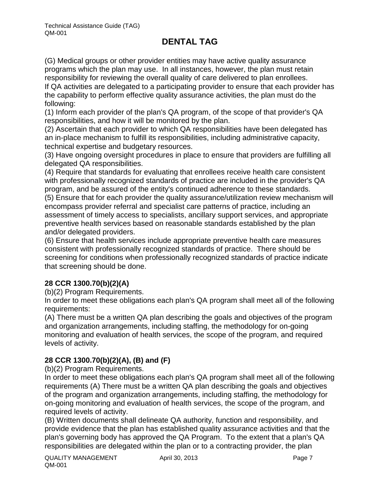(G) Medical groups or other provider entities may have active quality assurance programs which the plan may use. In all instances, however, the plan must retain responsibility for reviewing the overall quality of care delivered to plan enrollees.

If QA activities are delegated to a participating provider to ensure that each provider has the capability to perform effective quality assurance activities, the plan must do the following:

(1) Inform each provider of the plan's QA program, of the scope of that provider's QA responsibilities, and how it will be monitored by the plan.

(2) Ascertain that each provider to which QA responsibilities have been delegated has an in-place mechanism to fulfill its responsibilities, including administrative capacity, technical expertise and budgetary resources.

(3) Have ongoing oversight procedures in place to ensure that providers are fulfilling all delegated QA responsibilities.

(4) Require that standards for evaluating that enrollees receive health care consistent with professionally recognized standards of practice are included in the provider's QA program, and be assured of the entity's continued adherence to these standards.

(5) Ensure that for each provider the quality assurance/utilization review mechanism will encompass provider referral and specialist care patterns of practice, including an assessment of timely access to specialists, ancillary support services, and appropriate preventive health services based on reasonable standards established by the plan and/or delegated providers.

(6) Ensure that health services include appropriate preventive health care measures consistent with professionally recognized standards of practice. There should be screening for conditions when professionally recognized standards of practice indicate that screening should be done.

### **28 CCR 1300.70(b)(2)(A)**

(b)(2) Program Requirements.

In order to meet these obligations each plan's QA program shall meet all of the following requirements:

(A) There must be a written QA plan describing the goals and objectives of the program and organization arrangements, including staffing, the methodology for on-going monitoring and evaluation of health services, the scope of the program, and required levels of activity.

### **28 CCR 1300.70(b)(2)(A), (B) and (F)**

(b)(2) Program Requirements.

In order to meet these obligations each plan's QA program shall meet all of the following requirements (A) There must be a written QA plan describing the goals and objectives of the program and organization arrangements, including staffing, the methodology for on-going monitoring and evaluation of health services, the scope of the program, and required levels of activity.

(B) Written documents shall delineate QA authority, function and responsibility, and provide evidence that the plan has established quality assurance activities and that the plan's governing body has approved the QA Program. To the extent that a plan's QA responsibilities are delegated within the plan or to a contracting provider, the plan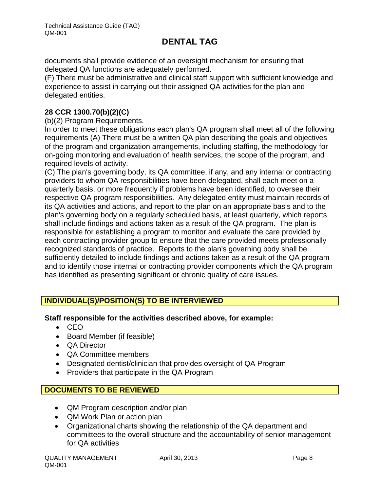documents shall provide evidence of an oversight mechanism for ensuring that delegated QA functions are adequately performed.

(F) There must be administrative and clinical staff support with sufficient knowledge and experience to assist in carrying out their assigned QA activities for the plan and delegated entities.

### **28 CCR 1300.70(b)(2)(C)**

(b)(2) Program Requirements.

In order to meet these obligations each plan's QA program shall meet all of the following requirements (A) There must be a written QA plan describing the goals and objectives of the program and organization arrangements, including staffing, the methodology for on-going monitoring and evaluation of health services, the scope of the program, and required levels of activity.

(C) The plan's governing body, its QA committee, if any, and any internal or contracting providers to whom QA responsibilities have been delegated, shall each meet on a quarterly basis, or more frequently if problems have been identified, to oversee their respective QA program responsibilities. Any delegated entity must maintain records of its QA activities and actions, and report to the plan on an appropriate basis and to the plan's governing body on a regularly scheduled basis, at least quarterly, which reports shall include findings and actions taken as a result of the QA program. The plan is responsible for establishing a program to monitor and evaluate the care provided by each contracting provider group to ensure that the care provided meets professionally recognized standards of practice. Reports to the plan's governing body shall be sufficiently detailed to include findings and actions taken as a result of the QA program and to identify those internal or contracting provider components which the QA program has identified as presenting significant or chronic quality of care issues.

### **INDIVIDUAL(S)/POSITION(S) TO BE INTERVIEWED**

### **Staff responsible for the activities described above, for example:**

- $\bullet$  CEO
- Board Member (if feasible)
- QA Director
- QA Committee members
- Designated dentist/clinician that provides oversight of QA Program
- Providers that participate in the QA Program

### **DOCUMENTS TO BE REVIEWED**

- QM Program description and/or plan
- QM Work Plan or action plan
- Organizational charts showing the relationship of the QA department and committees to the overall structure and the accountability of senior management for QA activities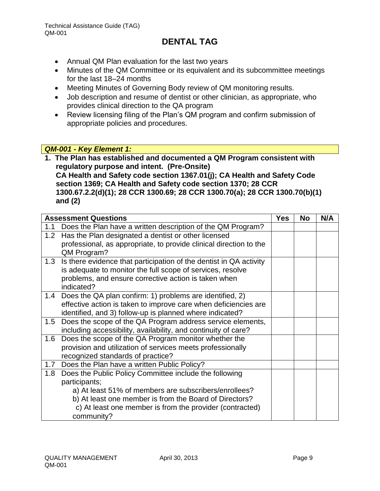- Annual QM Plan evaluation for the last two years
- Minutes of the QM Committee or its equivalent and its subcommittee meetings for the last 18–24 months
- Meeting Minutes of Governing Body review of QM monitoring results.
- Job description and resume of dentist or other clinician, as appropriate, who provides clinical direction to the QA program
- Review licensing filing of the Plan's QM program and confirm submission of appropriate policies and procedures.

### *QM-001 - Key Element 1:*

**1. The Plan has established and documented a QM Program consistent with regulatory purpose and intent. (Pre-Onsite) CA Health and Safety code section 1367.01(j); CA Health and Safety Code section 1369; CA Health and Safety code section 1370; 28 CCR 1300.67.2.2(d)(1); 28 CCR 1300.69; 28 CCR 1300.70(a); 28 CCR 1300.70(b)(1) and (2)**

| <b>Assessment Questions</b>                                                       | <b>Yes</b> | No | N/A |
|-----------------------------------------------------------------------------------|------------|----|-----|
| Does the Plan have a written description of the QM Program?<br>1.1                |            |    |     |
| 1.2 Has the Plan designated a dentist or other licensed                           |            |    |     |
| professional, as appropriate, to provide clinical direction to the<br>QM Program? |            |    |     |
| Is there evidence that participation of the dentist in QA activity<br>1.3         |            |    |     |
| is adequate to monitor the full scope of services, resolve                        |            |    |     |
| problems, and ensure corrective action is taken when                              |            |    |     |
| indicated?                                                                        |            |    |     |
| 1.4 Does the QA plan confirm: 1) problems are identified, 2)                      |            |    |     |
| effective action is taken to improve care when deficiencies are                   |            |    |     |
| identified, and 3) follow-up is planned where indicated?                          |            |    |     |
| Does the scope of the QA Program address service elements,<br>1.5                 |            |    |     |
| including accessibility, availability, and continuity of care?                    |            |    |     |
| Does the scope of the QA Program monitor whether the<br>1.6                       |            |    |     |
| provision and utilization of services meets professionally                        |            |    |     |
| recognized standards of practice?                                                 |            |    |     |
| 1.7 Does the Plan have a written Public Policy?                                   |            |    |     |
| 1.8 Does the Public Policy Committee include the following                        |            |    |     |
| participants;                                                                     |            |    |     |
| a) At least 51% of members are subscribers/enrollees?                             |            |    |     |
| b) At least one member is from the Board of Directors?                            |            |    |     |
| c) At least one member is from the provider (contracted)                          |            |    |     |
| community?                                                                        |            |    |     |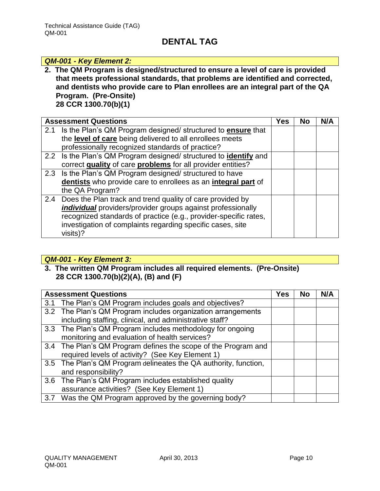#### *QM-001 - Key Element 2:*

**2. The QM Program is designed/structured to ensure a level of care is provided that meets professional standards, that problems are identified and corrected, and dentists who provide care to Plan enrollees are an integral part of the QA Program. (Pre-Onsite) 28 CCR 1300.70(b)(1)**

Assessment Questions **No. 2.1. In the UV Yes No. 2.1. No. 2.1. No. 2.1. No. 2.1. No. 2.1. No. 2.1. No. 2.1. No. 2.1. No. 2.1. No. 2.1. No. 2.1. No. 2.1. No. 2.1. No. 2.1. No. 2.1. No. 2.1. No. 2.1. No. 2.1. No. 2.1. No** 2.1 Is the Plan's QM Program designed/ structured to **ensure** that the **level of care** being delivered to all enrollees meets professionally recognized standards of practice? 2.2 Is the Plan's QM Program designed/ structured to **identify** and correct **quality** of care **problems** for all provider entities? 2.3 Is the Plan's QM Program designed/ structured to have **dentists** who provide care to enrollees as an **integral part** of the QA Program? 2.4 Does the Plan track and trend quality of care provided by *individual* providers/provider groups against professionally recognized standards of practice (e.g., provider-specific rates, investigation of complaints regarding specific cases, site visits)?

#### *QM-001 - Key Element 3:*

**3. The written QM Program includes all required elements. (Pre-Onsite) 28 CCR 1300.70(b)(2)(A), (B) and (F)**

|     | <b>Assessment Questions</b>                                      | Yes | <b>No</b> | N/A |
|-----|------------------------------------------------------------------|-----|-----------|-----|
| 3.1 | The Plan's QM Program includes goals and objectives?             |     |           |     |
|     | 3.2 The Plan's QM Program includes organization arrangements     |     |           |     |
|     | including staffing, clinical, and administrative staff?          |     |           |     |
|     | 3.3 The Plan's QM Program includes methodology for ongoing       |     |           |     |
|     | monitoring and evaluation of health services?                    |     |           |     |
|     | 3.4 The Plan's QM Program defines the scope of the Program and   |     |           |     |
|     | required levels of activity? (See Key Element 1)                 |     |           |     |
|     | 3.5 The Plan's QM Program delineates the QA authority, function, |     |           |     |
|     | and responsibility?                                              |     |           |     |
|     | 3.6 The Plan's QM Program includes established quality           |     |           |     |
|     | assurance activities? (See Key Element 1)                        |     |           |     |
|     | 3.7 Was the QM Program approved by the governing body?           |     |           |     |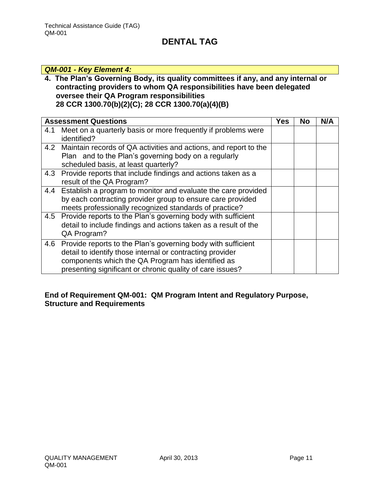### *QM-001 - Key Element 4:*

### **4. The Plan's Governing Body, its quality committees if any, and any internal or contracting providers to whom QA responsibilities have been delegated oversee their QA Program responsibilities 28 CCR 1300.70(b)(2)(C); 28 CCR 1300.70(a)(4)(B)**

|     | <b>Assessment Questions</b>                                                                                                                                                                                                                 | Yes | No | N/A |
|-----|---------------------------------------------------------------------------------------------------------------------------------------------------------------------------------------------------------------------------------------------|-----|----|-----|
| 4.1 | Meet on a quarterly basis or more frequently if problems were<br>identified?                                                                                                                                                                |     |    |     |
|     | 4.2 Maintain records of QA activities and actions, and report to the<br>Plan and to the Plan's governing body on a regularly<br>scheduled basis, at least quarterly?                                                                        |     |    |     |
| 4.3 | Provide reports that include findings and actions taken as a<br>result of the QA Program?                                                                                                                                                   |     |    |     |
| 4.4 | Establish a program to monitor and evaluate the care provided<br>by each contracting provider group to ensure care provided<br>meets professionally recognized standards of practice?                                                       |     |    |     |
|     | 4.5 Provide reports to the Plan's governing body with sufficient<br>detail to include findings and actions taken as a result of the<br>QA Program?                                                                                          |     |    |     |
| 4.6 | Provide reports to the Plan's governing body with sufficient<br>detail to identify those internal or contracting provider<br>components which the QA Program has identified as<br>presenting significant or chronic quality of care issues? |     |    |     |

### **End of Requirement QM-001: QM Program Intent and Regulatory Purpose, Structure and Requirements**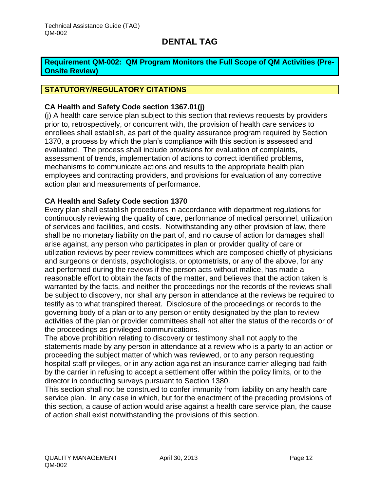### <span id="page-12-0"></span>**Requirement QM-002: QM Program Monitors the Full Scope of QM Activities (Pre-Onsite Review)**

### **STATUTORY/REGULATORY CITATIONS**

### **CA Health and Safety Code section 1367.01(j)**

(j) A health care service plan subject to this section that reviews requests by providers prior to, retrospectively, or concurrent with, the provision of health care services to enrollees shall establish, as part of the quality assurance program required by Section 1370, a process by which the plan's compliance with this section is assessed and evaluated. The process shall include provisions for evaluation of complaints, assessment of trends, implementation of actions to correct identified problems, mechanisms to communicate actions and results to the appropriate health plan employees and contracting providers, and provisions for evaluation of any corrective action plan and measurements of performance.

### **CA Health and Safety Code section 1370**

Every plan shall establish procedures in accordance with department regulations for continuously reviewing the quality of care, performance of medical personnel, utilization of services and facilities, and costs. Notwithstanding any other provision of law, there shall be no monetary liability on the part of, and no cause of action for damages shall arise against, any person who participates in plan or provider quality of care or utilization reviews by peer review committees which are composed chiefly of physicians and surgeons or dentists, psychologists, or optometrists, or any of the above, for any act performed during the reviews if the person acts without malice, has made a reasonable effort to obtain the facts of the matter, and believes that the action taken is warranted by the facts, and neither the proceedings nor the records of the reviews shall be subject to discovery, nor shall any person in attendance at the reviews be required to testify as to what transpired thereat. Disclosure of the proceedings or records to the governing body of a plan or to any person or entity designated by the plan to review activities of the plan or provider committees shall not alter the status of the records or of the proceedings as privileged communications.

The above prohibition relating to discovery or testimony shall not apply to the statements made by any person in attendance at a review who is a party to an action or proceeding the subject matter of which was reviewed, or to any person requesting hospital staff privileges, or in any action against an insurance carrier alleging bad faith by the carrier in refusing to accept a settlement offer within the policy limits, or to the director in conducting surveys pursuant to Section 1380.

This section shall not be construed to confer immunity from liability on any health care service plan. In any case in which, but for the enactment of the preceding provisions of this section, a cause of action would arise against a health care service plan, the cause of action shall exist notwithstanding the provisions of this section.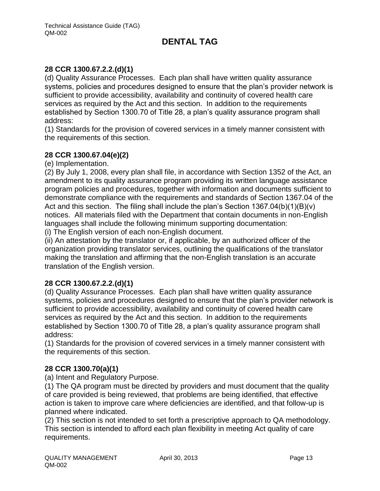### **28 CCR 1300.67.2.2.(d)(1)**

(d) Quality Assurance Processes. Each plan shall have written quality assurance systems, policies and procedures designed to ensure that the plan's provider network is sufficient to provide accessibility, availability and continuity of covered health care services as required by the Act and this section. In addition to the requirements established by Section 1300.70 of Title 28, a plan's quality assurance program shall address:

(1) Standards for the provision of covered services in a timely manner consistent with the requirements of this section.

#### **28 CCR 1300.67.04(e)(2)**

(e) Implementation.

(2) By July 1, 2008, every plan shall file, in accordance with Section 1352 of the Act, an amendment to its quality assurance program providing its written language assistance program policies and procedures, together with information and documents sufficient to demonstrate compliance with the requirements and standards of Section 1367.04 of the Act and this section. The filing shall include the plan's Section 1367.04(b)(1)(B)(v) notices. All materials filed with the Department that contain documents in non-English languages shall include the following minimum supporting documentation:

(i) The English version of each non-English document.

(ii) An attestation by the translator or, if applicable, by an authorized officer of the organization providing translator services, outlining the qualifications of the translator making the translation and affirming that the non-English translation is an accurate translation of the English version.

### **28 CCR 1300.67.2.2.(d)(1)**

(d) Quality Assurance Processes. Each plan shall have written quality assurance systems, policies and procedures designed to ensure that the plan's provider network is sufficient to provide accessibility, availability and continuity of covered health care services as required by the Act and this section. In addition to the requirements established by Section 1300.70 of Title 28, a plan's quality assurance program shall address:

(1) Standards for the provision of covered services in a timely manner consistent with the requirements of this section.

### **28 CCR 1300.70(a)(1)**

(a) Intent and Regulatory Purpose.

(1) The QA program must be directed by providers and must document that the quality of care provided is being reviewed, that problems are being identified, that effective action is taken to improve care where deficiencies are identified, and that follow-up is planned where indicated.

(2) This section is not intended to set forth a prescriptive approach to QA methodology. This section is intended to afford each plan flexibility in meeting Act quality of care requirements.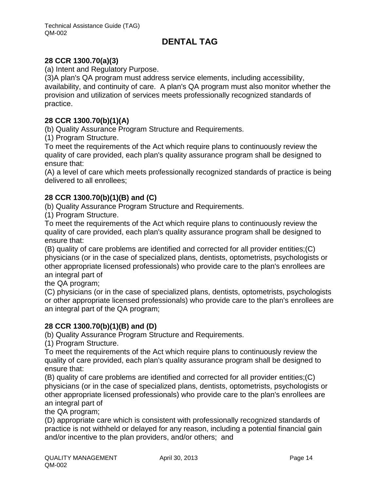### **28 CCR 1300.70(a)(3)**

(a) Intent and Regulatory Purpose.

(3)A plan's QA program must address service elements, including accessibility, availability, and continuity of care. A plan's QA program must also monitor whether the provision and utilization of services meets professionally recognized standards of practice.

### **28 CCR 1300.70(b)(1)(A)**

(b) Quality Assurance Program Structure and Requirements.

(1) Program Structure.

To meet the requirements of the Act which require plans to continuously review the quality of care provided, each plan's quality assurance program shall be designed to ensure that:

(A) a level of care which meets professionally recognized standards of practice is being delivered to all enrollees;

### **28 CCR 1300.70(b)(1)(B) and (C)**

(b) Quality Assurance Program Structure and Requirements.

(1) Program Structure.

To meet the requirements of the Act which require plans to continuously review the quality of care provided, each plan's quality assurance program shall be designed to ensure that:

(B) quality of care problems are identified and corrected for all provider entities;(C) physicians (or in the case of specialized plans, dentists, optometrists, psychologists or other appropriate licensed professionals) who provide care to the plan's enrollees are an integral part of

the QA program;

(C) physicians (or in the case of specialized plans, dentists, optometrists, psychologists or other appropriate licensed professionals) who provide care to the plan's enrollees are an integral part of the QA program;

### **28 CCR 1300.70(b)(1)(B) and (D)**

(b) Quality Assurance Program Structure and Requirements.

(1) Program Structure.

To meet the requirements of the Act which require plans to continuously review the quality of care provided, each plan's quality assurance program shall be designed to ensure that:

(B) quality of care problems are identified and corrected for all provider entities;(C) physicians (or in the case of specialized plans, dentists, optometrists, psychologists or other appropriate licensed professionals) who provide care to the plan's enrollees are an integral part of

the QA program;

(D) appropriate care which is consistent with professionally recognized standards of practice is not withheld or delayed for any reason, including a potential financial gain and/or incentive to the plan providers, and/or others; and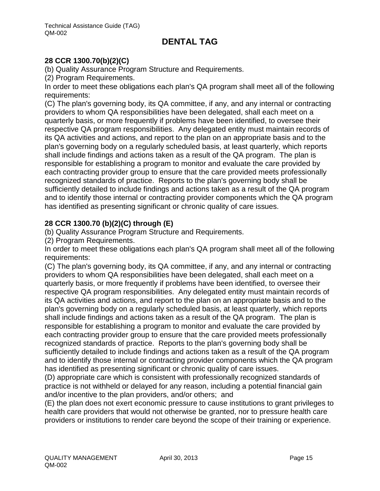### **28 CCR 1300.70(b)(2)(C)**

(b) Quality Assurance Program Structure and Requirements.

(2) Program Requirements.

In order to meet these obligations each plan's QA program shall meet all of the following requirements:

(C) The plan's governing body, its QA committee, if any, and any internal or contracting providers to whom QA responsibilities have been delegated, shall each meet on a quarterly basis, or more frequently if problems have been identified, to oversee their respective QA program responsibilities. Any delegated entity must maintain records of its QA activities and actions, and report to the plan on an appropriate basis and to the plan's governing body on a regularly scheduled basis, at least quarterly, which reports shall include findings and actions taken as a result of the QA program. The plan is responsible for establishing a program to monitor and evaluate the care provided by each contracting provider group to ensure that the care provided meets professionally recognized standards of practice. Reports to the plan's governing body shall be sufficiently detailed to include findings and actions taken as a result of the QA program and to identify those internal or contracting provider components which the QA program has identified as presenting significant or chronic quality of care issues.

### **28 CCR 1300.70 (b)(2)(C) through (E)**

(b) Quality Assurance Program Structure and Requirements.

(2) Program Requirements.

In order to meet these obligations each plan's QA program shall meet all of the following requirements:

(C) The plan's governing body, its QA committee, if any, and any internal or contracting providers to whom QA responsibilities have been delegated, shall each meet on a quarterly basis, or more frequently if problems have been identified, to oversee their respective QA program responsibilities. Any delegated entity must maintain records of its QA activities and actions, and report to the plan on an appropriate basis and to the plan's governing body on a regularly scheduled basis, at least quarterly, which reports shall include findings and actions taken as a result of the QA program. The plan is responsible for establishing a program to monitor and evaluate the care provided by each contracting provider group to ensure that the care provided meets professionally recognized standards of practice. Reports to the plan's governing body shall be sufficiently detailed to include findings and actions taken as a result of the QA program and to identify those internal or contracting provider components which the QA program has identified as presenting significant or chronic quality of care issues.

(D) appropriate care which is consistent with professionally recognized standards of practice is not withheld or delayed for any reason, including a potential financial gain and/or incentive to the plan providers, and/or others; and

(E) the plan does not exert economic pressure to cause institutions to grant privileges to health care providers that would not otherwise be granted, nor to pressure health care providers or institutions to render care beyond the scope of their training or experience.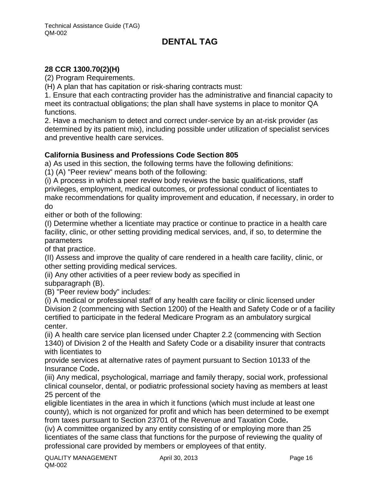### **28 CCR 1300.70(2)(H)**

(2) Program Requirements.

(H) A plan that has capitation or risk-sharing contracts must:

1. Ensure that each contracting provider has the administrative and financial capacity to meet its contractual obligations; the plan shall have systems in place to monitor QA functions.

2. Have a mechanism to detect and correct under-service by an at-risk provider (as determined by its patient mix), including possible under utilization of specialist services and preventive health care services.

#### **California Business and Professions Code Section 805**

a) As used in this section, the following terms have the following definitions:

(1) (A) "Peer review" means both of the following:

(i) A process in which a peer review body reviews the basic qualifications, staff privileges, employment, medical outcomes, or professional conduct of licentiates to make recommendations for quality improvement and education, if necessary, in order to do

either or both of the following:

(I) Determine whether a licentiate may practice or continue to practice in a health care facility, clinic, or other setting providing medical services, and, if so, to determine the parameters

of that practice.

(II) Assess and improve the quality of care rendered in a health care facility, clinic, or other setting providing medical services.

(ii) Any other activities of a peer review body as specified in

subparagraph (B).

(B) "Peer review body" includes:

(i) A medical or professional staff of any health care facility or clinic licensed under Division 2 (commencing with Section 1200) of the Health and Safety Code or of a facility certified to participate in the federal Medicare Program as an ambulatory surgical center.

(ii) A health care service plan licensed under Chapter 2.2 (commencing with Section 1340) of Division 2 of the Health and Safety Code or a disability insurer that contracts with licentiates to

provide services at alternative rates of payment pursuant to Section 10133 of the Insurance Code**.**

(iii) Any medical, psychological, marriage and family therapy, social work, professional clinical counselor, dental, or podiatric professional society having as members at least 25 percent of the

eligible licentiates in the area in which it functions (which must include at least one county), which is not organized for profit and which has been determined to be exempt from taxes pursuant to Section 23701 of the Revenue and Taxation Code**.**

(iv) A committee organized by any entity consisting of or employing more than 25 licentiates of the same class that functions for the purpose of reviewing the quality of professional care provided by members or employees of that entity.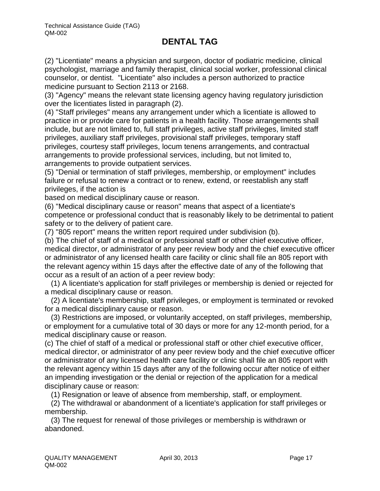(2) "Licentiate" means a physician and surgeon, doctor of podiatric medicine, clinical psychologist, marriage and family therapist, clinical social worker, professional clinical counselor, or dentist. "Licentiate" also includes a person authorized to practice medicine pursuant to Section 2113 or 2168.

(3) "Agency" means the relevant state licensing agency having regulatory jurisdiction over the licentiates listed in paragraph (2).

(4) "Staff privileges" means any arrangement under which a licentiate is allowed to practice in or provide care for patients in a health facility. Those arrangements shall include, but are not limited to, full staff privileges, active staff privileges, limited staff privileges, auxiliary staff privileges, provisional staff privileges, temporary staff privileges, courtesy staff privileges, locum tenens arrangements, and contractual arrangements to provide professional services, including, but not limited to, arrangements to provide outpatient services.

(5) "Denial or termination of staff privileges, membership, or employment" includes failure or refusal to renew a contract or to renew, extend, or reestablish any staff privileges, if the action is

based on medical disciplinary cause or reason.

(6) "Medical disciplinary cause or reason" means that aspect of a licentiate's competence or professional conduct that is reasonably likely to be detrimental to patient safety or to the delivery of patient care.

(7) "805 report" means the written report required under subdivision (b).

(b) The chief of staff of a medical or professional staff or other chief executive officer, medical director, or administrator of any peer review body and the chief executive officer or administrator of any licensed health care facility or clinic shall file an 805 report with the relevant agency within 15 days after the effective date of any of the following that occur as a result of an action of a peer review body:

 (1) A licentiate's application for staff privileges or membership is denied or rejected for a medical disciplinary cause or reason.

 (2) A licentiate's membership, staff privileges, or employment is terminated or revoked for a medical disciplinary cause or reason.

 (3) Restrictions are imposed, or voluntarily accepted, on staff privileges, membership, or employment for a cumulative total of 30 days or more for any 12-month period, for a medical disciplinary cause or reason.

(c) The chief of staff of a medical or professional staff or other chief executive officer, medical director, or administrator of any peer review body and the chief executive officer or administrator of any licensed health care facility or clinic shall file an 805 report with the relevant agency within 15 days after any of the following occur after notice of either an impending investigation or the denial or rejection of the application for a medical disciplinary cause or reason:

(1) Resignation or leave of absence from membership, staff, or employment.

 (2) The withdrawal or abandonment of a licentiate's application for staff privileges or membership.

 (3) The request for renewal of those privileges or membership is withdrawn or abandoned.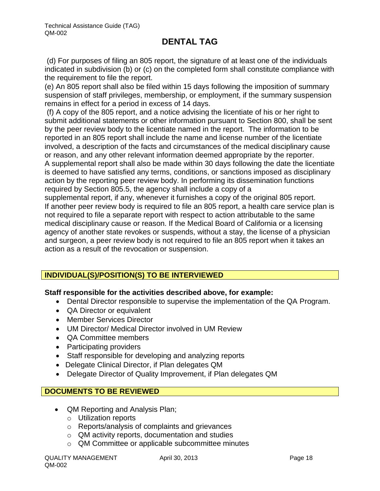(d) For purposes of filing an 805 report, the signature of at least one of the individuals indicated in subdivision (b) or (c) on the completed form shall constitute compliance with the requirement to file the report.

(e) An 805 report shall also be filed within 15 days following the imposition of summary suspension of staff privileges, membership, or employment, if the summary suspension remains in effect for a period in excess of 14 days.

(f) A copy of the 805 report, and a notice advising the licentiate of his or her right to submit additional statements or other information pursuant to Section 800, shall be sent by the peer review body to the licentiate named in the report. The information to be reported in an 805 report shall include the name and license number of the licentiate involved, a description of the facts and circumstances of the medical disciplinary cause or reason, and any other relevant information deemed appropriate by the reporter. A supplemental report shall also be made within 30 days following the date the licentiate is deemed to have satisfied any terms, conditions, or sanctions imposed as disciplinary action by the reporting peer review body. In performing its dissemination functions required by Section 805.5, the agency shall include a copy of a

supplemental report, if any, whenever it furnishes a copy of the original 805 report. If another peer review body is required to file an 805 report, a health care service plan is not required to file a separate report with respect to action attributable to the same medical disciplinary cause or reason. If the Medical Board of California or a licensing agency of another state revokes or suspends, without a stay, the license of a physician and surgeon, a peer review body is not required to file an 805 report when it takes an action as a result of the revocation or suspension.

### **INDIVIDUAL(S)/POSITION(S) TO BE INTERVIEWED**

### **Staff responsible for the activities described above, for example:**

- Dental Director responsible to supervise the implementation of the QA Program.
- QA Director or equivalent
- Member Services Director
- UM Director/ Medical Director involved in UM Review
- QA Committee members
- Participating providers
- Staff responsible for developing and analyzing reports
- Delegate Clinical Director, if Plan delegates QM
- Delegate Director of Quality Improvement, if Plan delegates QM

### **DOCUMENTS TO BE REVIEWED**

- QM Reporting and Analysis Plan;
	- o Utilization reports
	- o Reports/analysis of complaints and grievances
	- o QM activity reports, documentation and studies
	- o QM Committee or applicable subcommittee minutes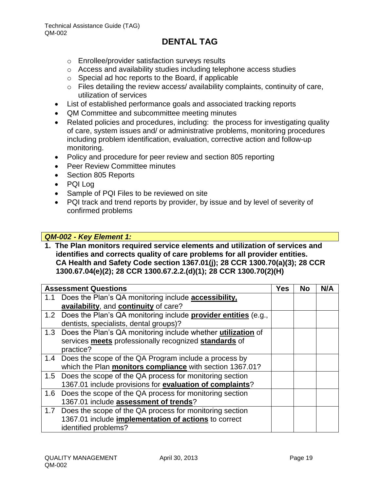- o Enrollee/provider satisfaction surveys results
- o Access and availability studies including telephone access studies
- o Special ad hoc reports to the Board, if applicable
- $\circ$  Files detailing the review access/ availability complaints, continuity of care, utilization of services
- List of established performance goals and associated tracking reports
- QM Committee and subcommittee meeting minutes
- Related policies and procedures, including: the process for investigating quality of care, system issues and/ or administrative problems, monitoring procedures including problem identification, evaluation, corrective action and follow-up monitoring.
- Policy and procedure for peer review and section 805 reporting
- Peer Review Committee minutes
- Section 805 Reports
- PQI Log
- Sample of PQI Files to be reviewed on site
- PQI track and trend reports by provider, by issue and by level of severity of confirmed problems

#### *QM-002 - Key Element 1:*

**1. The Plan monitors required service elements and utilization of services and identifies and corrects quality of care problems for all provider entities. CA Health and Safety Code section 1367.01(j); 28 CCR 1300.70(a)(3); 28 CCR 1300.67.04(e)(2); 28 CCR 1300.67.2.2.(d)(1); 28 CCR 1300.70(2)(H)**

|     | <b>Assessment Questions</b>                                             | <b>Yes</b> | No | N/A |
|-----|-------------------------------------------------------------------------|------------|----|-----|
| 1.1 | Does the Plan's QA monitoring include accessibility,                    |            |    |     |
|     | availability, and continuity of care?                                   |            |    |     |
|     | 1.2 Does the Plan's QA monitoring include provider entities (e.g.,      |            |    |     |
|     | dentists, specialists, dental groups)?                                  |            |    |     |
|     | 1.3 Does the Plan's QA monitoring include whether <i>utilization</i> of |            |    |     |
|     | services meets professionally recognized standards of                   |            |    |     |
|     | practice?                                                               |            |    |     |
| 1.4 | Does the scope of the QA Program include a process by                   |            |    |     |
|     | which the Plan monitors compliance with section 1367.01?                |            |    |     |
|     | 1.5 Does the scope of the QA process for monitoring section             |            |    |     |
|     | 1367.01 include provisions for evaluation of complaints?                |            |    |     |
| 1.6 | Does the scope of the QA process for monitoring section                 |            |    |     |
|     | 1367.01 include assessment of trends?                                   |            |    |     |
| 1.7 | Does the scope of the QA process for monitoring section                 |            |    |     |
|     | 1367.01 include implementation of actions to correct                    |            |    |     |
|     | identified problems?                                                    |            |    |     |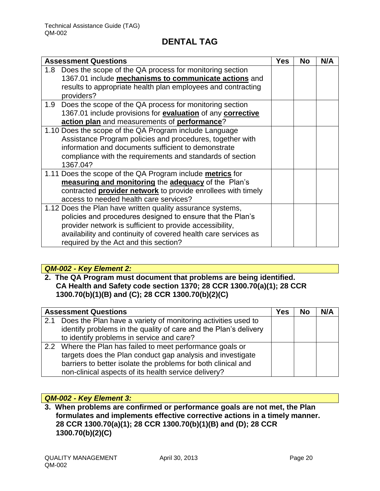| <b>Assessment Questions</b>                                                 | <b>Yes</b> | <b>No</b> | N/A |
|-----------------------------------------------------------------------------|------------|-----------|-----|
| Does the scope of the QA process for monitoring section<br>1.8 <sup>°</sup> |            |           |     |
| 1367.01 include mechanisms to communicate actions and                       |            |           |     |
| results to appropriate health plan employees and contracting<br>providers?  |            |           |     |
| 1.9 Does the scope of the QA process for monitoring section                 |            |           |     |
| 1367.01 include provisions for evaluation of any corrective                 |            |           |     |
| action plan and measurements of performance?                                |            |           |     |
| 1.10 Does the scope of the QA Program include Language                      |            |           |     |
| Assistance Program policies and procedures, together with                   |            |           |     |
| information and documents sufficient to demonstrate                         |            |           |     |
| compliance with the requirements and standards of section                   |            |           |     |
| 1367.04?                                                                    |            |           |     |
| 1.11 Does the scope of the QA Program include metrics for                   |            |           |     |
| measuring and monitoring the adequacy of the Plan's                         |            |           |     |
| contracted provider network to provide enrollees with timely                |            |           |     |
| access to needed health care services?                                      |            |           |     |
| 1.12 Does the Plan have written quality assurance systems,                  |            |           |     |
| policies and procedures designed to ensure that the Plan's                  |            |           |     |
| provider network is sufficient to provide accessibility,                    |            |           |     |
| availability and continuity of covered health care services as              |            |           |     |
| required by the Act and this section?                                       |            |           |     |

### *QM-002 - Key Element 2:*

### **2. The QA Program must document that problems are being identified. CA Health and Safety code section 1370; 28 CCR 1300.70(a)(1); 28 CCR 1300.70(b)(1)(B) and (C); 28 CCR 1300.70(b)(2)(C)**

|     | <b>Assessment Questions</b>                                      | Yes | <b>No</b> | N/A |
|-----|------------------------------------------------------------------|-----|-----------|-----|
| 2.1 | Does the Plan have a variety of monitoring activities used to    |     |           |     |
|     | identify problems in the quality of care and the Plan's delivery |     |           |     |
|     | to identify problems in service and care?                        |     |           |     |
|     | 2.2 Where the Plan has failed to meet performance goals or       |     |           |     |
|     | targets does the Plan conduct gap analysis and investigate       |     |           |     |
|     | barriers to better isolate the problems for both clinical and    |     |           |     |
|     | non-clinical aspects of its health service delivery?             |     |           |     |

### *QM-002 - Key Element 3:*

**3. When problems are confirmed or performance goals are not met, the Plan formulates and implements effective corrective actions in a timely manner. 28 CCR 1300.70(a)(1); 28 CCR 1300.70(b)(1)(B) and (D); 28 CCR 1300.70(b)(2)(C)**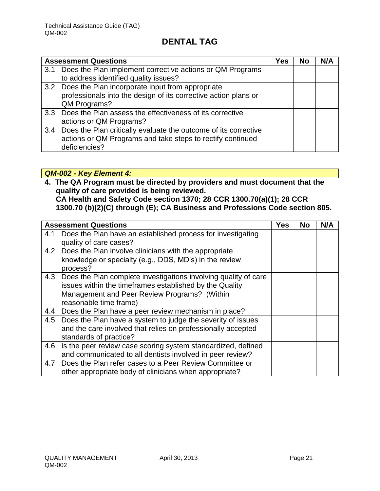|     | <b>Assessment Questions</b>                                     | Yes | No | N/A |
|-----|-----------------------------------------------------------------|-----|----|-----|
| 3.1 | Does the Plan implement corrective actions or QM Programs       |     |    |     |
|     | to address identified quality issues?                           |     |    |     |
|     | 3.2 Does the Plan incorporate input from appropriate            |     |    |     |
|     | professionals into the design of its corrective action plans or |     |    |     |
|     | QM Programs?                                                    |     |    |     |
|     | 3.3 Does the Plan assess the effectiveness of its corrective    |     |    |     |
|     | actions or QM Programs?                                         |     |    |     |
| 3.4 | Does the Plan critically evaluate the outcome of its corrective |     |    |     |
|     | actions or QM Programs and take steps to rectify continued      |     |    |     |
|     | deficiencies?                                                   |     |    |     |

### *QM-002 - Key Element 4:*

**4. The QA Program must be directed by providers and must document that the quality of care provided is being reviewed. CA Health and Safety Code section 1370; 28 CCR 1300.70(a)(1); 28 CCR 1300.70 (b)(2)(C) through (E); CA Business and Professions Code section 805.** 

|     | <b>Assessment Questions</b>                                     | Yes | <b>No</b> | N/A |
|-----|-----------------------------------------------------------------|-----|-----------|-----|
| 4.1 | Does the Plan have an established process for investigating     |     |           |     |
|     | quality of care cases?                                          |     |           |     |
|     | 4.2 Does the Plan involve clinicians with the appropriate       |     |           |     |
|     | knowledge or specialty (e.g., DDS, MD's) in the review          |     |           |     |
|     | process?                                                        |     |           |     |
| 4.3 | Does the Plan complete investigations involving quality of care |     |           |     |
|     | issues within the timeframes established by the Quality         |     |           |     |
|     | Management and Peer Review Programs? (Within                    |     |           |     |
|     | reasonable time frame)                                          |     |           |     |
|     | 4.4 Does the Plan have a peer review mechanism in place?        |     |           |     |
|     | 4.5 Does the Plan have a system to judge the severity of issues |     |           |     |
|     | and the care involved that relies on professionally accepted    |     |           |     |
|     | standards of practice?                                          |     |           |     |
| 4.6 | Is the peer review case scoring system standardized, defined    |     |           |     |
|     | and communicated to all dentists involved in peer review?       |     |           |     |
| 4.7 | Does the Plan refer cases to a Peer Review Committee or         |     |           |     |
|     | other appropriate body of clinicians when appropriate?          |     |           |     |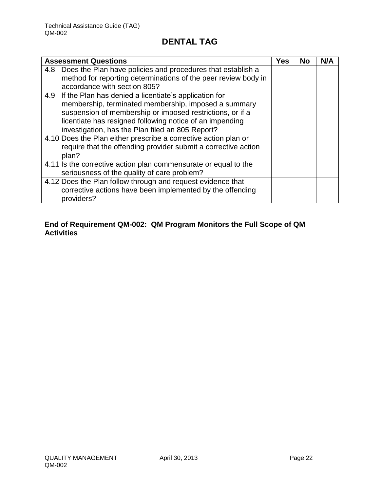|     | <b>Assessment Questions</b>                                                                                                                                                                                                                                                                | <b>Yes</b> | No | N/A |
|-----|--------------------------------------------------------------------------------------------------------------------------------------------------------------------------------------------------------------------------------------------------------------------------------------------|------------|----|-----|
| 4.8 | Does the Plan have policies and procedures that establish a<br>method for reporting determinations of the peer review body in<br>accordance with section 805?                                                                                                                              |            |    |     |
| 4.9 | If the Plan has denied a licentiate's application for<br>membership, terminated membership, imposed a summary<br>suspension of membership or imposed restrictions, or if a<br>licentiate has resigned following notice of an impending<br>investigation, has the Plan filed an 805 Report? |            |    |     |
|     | 4.10 Does the Plan either prescribe a corrective action plan or<br>require that the offending provider submit a corrective action<br>plan?                                                                                                                                                 |            |    |     |
|     | 4.11 Is the corrective action plan commensurate or equal to the<br>seriousness of the quality of care problem?                                                                                                                                                                             |            |    |     |
|     | 4.12 Does the Plan follow through and request evidence that<br>corrective actions have been implemented by the offending<br>providers?                                                                                                                                                     |            |    |     |

### **End of Requirement QM-002: QM Program Monitors the Full Scope of QM Activities**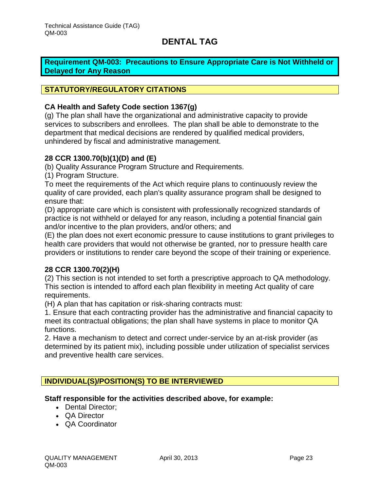<span id="page-23-0"></span>**Requirement QM-003: Precautions to Ensure Appropriate Care is Not Withheld or Delayed for Any Reason**

#### **STATUTORY/REGULATORY CITATIONS**

#### **CA Health and Safety Code section 1367(g)**

(g) The plan shall have the organizational and administrative capacity to provide services to subscribers and enrollees. The plan shall be able to demonstrate to the department that medical decisions are rendered by qualified medical providers, unhindered by fiscal and administrative management.

#### **28 CCR 1300.70(b)(1)(D) and (E)**

(b) Quality Assurance Program Structure and Requirements.

(1) Program Structure.

To meet the requirements of the Act which require plans to continuously review the quality of care provided, each plan's quality assurance program shall be designed to ensure that:

(D) appropriate care which is consistent with professionally recognized standards of practice is not withheld or delayed for any reason, including a potential financial gain and/or incentive to the plan providers, and/or others; and

(E) the plan does not exert economic pressure to cause institutions to grant privileges to health care providers that would not otherwise be granted, nor to pressure health care providers or institutions to render care beyond the scope of their training or experience.

#### **28 CCR 1300.70(2)(H)**

(2) This section is not intended to set forth a prescriptive approach to QA methodology. This section is intended to afford each plan flexibility in meeting Act quality of care requirements.

(H) A plan that has capitation or risk-sharing contracts must:

1. Ensure that each contracting provider has the administrative and financial capacity to meet its contractual obligations; the plan shall have systems in place to monitor QA functions.

2. Have a mechanism to detect and correct under-service by an at-risk provider (as determined by its patient mix), including possible under utilization of specialist services and preventive health care services.

### **INDIVIDUAL(S)/POSITION(S) TO BE INTERVIEWED**

#### **Staff responsible for the activities described above, for example:**

- Dental Director:
- QA Director
- QA Coordinator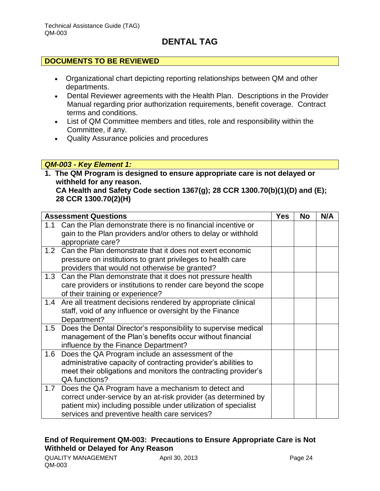### **DOCUMENTS TO BE REVIEWED**

- Organizational chart depicting reporting relationships between QM and other departments.
- Dental Reviewer agreements with the Health Plan. Descriptions in the Provider Manual regarding prior authorization requirements, benefit coverage. Contract terms and conditions.
- List of QM Committee members and titles, role and responsibility within the Committee, if any.
- Quality Assurance policies and procedures

### *QM-003 - Key Element 1:*

**1. The QM Program is designed to ensure appropriate care is not delayed or withheld for any reason. CA Health and Safety Code section 1367(g); 28 CCR 1300.70(b)(1)(D) and (E); 28 CCR 1300.70(2)(H)**

|     | <b>Assessment Questions</b>                                        | <b>Yes</b> | No | N/A |
|-----|--------------------------------------------------------------------|------------|----|-----|
| 1.1 | Can the Plan demonstrate there is no financial incentive or        |            |    |     |
|     | gain to the Plan providers and/or others to delay or withhold      |            |    |     |
|     | appropriate care?                                                  |            |    |     |
| 1.2 | Can the Plan demonstrate that it does not exert economic           |            |    |     |
|     | pressure on institutions to grant privileges to health care        |            |    |     |
|     | providers that would not otherwise be granted?                     |            |    |     |
|     | 1.3 Can the Plan demonstrate that it does not pressure health      |            |    |     |
|     | care providers or institutions to render care beyond the scope     |            |    |     |
|     | of their training or experience?                                   |            |    |     |
|     | 1.4 Are all treatment decisions rendered by appropriate clinical   |            |    |     |
|     | staff, void of any influence or oversight by the Finance           |            |    |     |
|     | Department?                                                        |            |    |     |
|     | 1.5 Does the Dental Director's responsibility to supervise medical |            |    |     |
|     | management of the Plan's benefits occur without financial          |            |    |     |
|     | influence by the Finance Department?                               |            |    |     |
|     | 1.6 Does the QA Program include an assessment of the               |            |    |     |
|     | administrative capacity of contracting provider's abilities to     |            |    |     |
|     | meet their obligations and monitors the contracting provider's     |            |    |     |
|     | QA functions?                                                      |            |    |     |
|     | 1.7 Does the QA Program have a mechanism to detect and             |            |    |     |
|     | correct under-service by an at-risk provider (as determined by     |            |    |     |
|     | patient mix) including possible under utilization of specialist    |            |    |     |
|     | services and preventive health care services?                      |            |    |     |

### **End of Requirement QM-003: Precautions to Ensure Appropriate Care is Not Withheld or Delayed for Any Reason**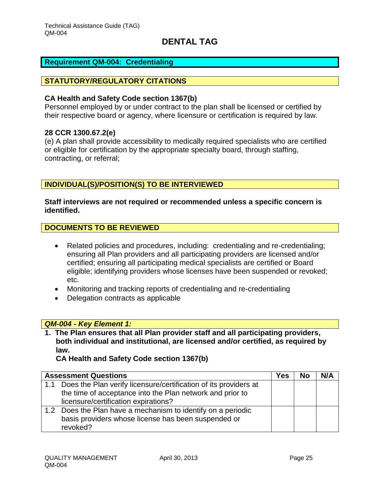#### <span id="page-25-0"></span>**Requirement QM-004: Credentialing**

#### **STATUTORY/REGULATORY CITATIONS**

#### **CA Health and Safety Code section 1367(b)**

Personnel employed by or under contract to the plan shall be licensed or certified by their respective board or agency, where licensure or certification is required by law.

#### **28 CCR 1300.67.2(e)**

(e) A plan shall provide accessibility to medically required specialists who are certified or eligible for certification by the appropriate specialty board, through staffing, contracting, or referral;

### **INDIVIDUAL(S)/POSITION(S) TO BE INTERVIEWED**

**Staff interviews are not required or recommended unless a specific concern is identified.**

#### **DOCUMENTS TO BE REVIEWED**

- Related policies and procedures, including: credentialing and re-credentialing; ensuring all Plan providers and all participating providers are licensed and/or certified; ensuring all participating medical specialists are certified or Board eligible; identifying providers whose licenses have been suspended or revoked; etc.
- Monitoring and tracking reports of credentialing and re-credentialing
- Delegation contracts as applicable

#### *QM-004 - Key Element 1:*

**1. The Plan ensures that all Plan provider staff and all participating providers, both individual and institutional, are licensed and/or certified, as required by law.** 

**CA Health and Safety Code section 1367(b)**

|     | <b>Assessment Questions</b>                                      | Yes | <b>No</b> | N/A |
|-----|------------------------------------------------------------------|-----|-----------|-----|
| 1.1 | Does the Plan verify licensure/certification of its providers at |     |           |     |
|     | the time of acceptance into the Plan network and prior to        |     |           |     |
|     | licensure/certification expirations?                             |     |           |     |
|     | 1.2 Does the Plan have a mechanism to identify on a periodic     |     |           |     |
|     | basis providers whose license has been suspended or              |     |           |     |
|     | revoked?                                                         |     |           |     |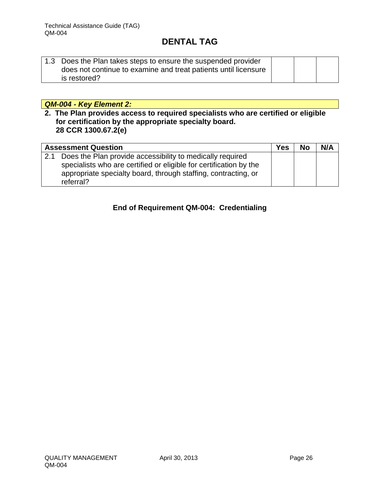| 1.3 Does the Plan takes steps to ensure the suspended provider  |  |  |
|-----------------------------------------------------------------|--|--|
| does not continue to examine and treat patients until licensure |  |  |
| is restored?                                                    |  |  |

### *QM-004 - Key Element 2:*

**2. The Plan provides access to required specialists who are certified or eligible for certification by the appropriate specialty board. 28 CCR 1300.67.2(e)**

| <b>Assessment Question</b> |                                                                                                                                                                                                                | <b>Yes</b> | <b>No</b> | N/A |
|----------------------------|----------------------------------------------------------------------------------------------------------------------------------------------------------------------------------------------------------------|------------|-----------|-----|
| 2.1                        | Does the Plan provide accessibility to medically required<br>specialists who are certified or eligible for certification by the<br>appropriate specialty board, through staffing, contracting, or<br>referral? |            |           |     |

### **End of Requirement QM-004: Credentialing**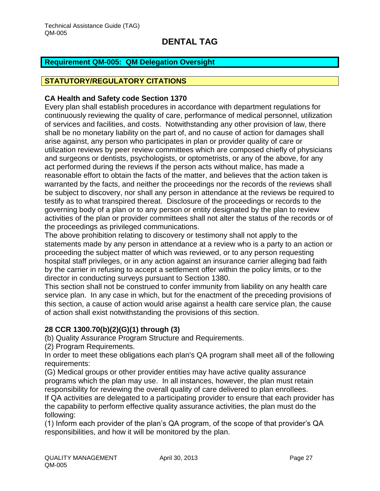#### <span id="page-27-0"></span>**Requirement QM-005: QM Delegation Oversight**

### **STATUTORY/REGULATORY CITATIONS**

#### **CA Health and Safety code Section 1370**

Every plan shall establish procedures in accordance with department regulations for continuously reviewing the quality of care, performance of medical personnel, utilization of services and facilities, and costs. Notwithstanding any other provision of law, there shall be no monetary liability on the part of, and no cause of action for damages shall arise against, any person who participates in plan or provider quality of care or utilization reviews by peer review committees which are composed chiefly of physicians and surgeons or dentists, psychologists, or optometrists, or any of the above, for any act performed during the reviews if the person acts without malice, has made a reasonable effort to obtain the facts of the matter, and believes that the action taken is warranted by the facts, and neither the proceedings nor the records of the reviews shall be subject to discovery, nor shall any person in attendance at the reviews be required to testify as to what transpired thereat. Disclosure of the proceedings or records to the governing body of a plan or to any person or entity designated by the plan to review activities of the plan or provider committees shall not alter the status of the records or of the proceedings as privileged communications.

The above prohibition relating to discovery or testimony shall not apply to the statements made by any person in attendance at a review who is a party to an action or proceeding the subject matter of which was reviewed, or to any person requesting hospital staff privileges, or in any action against an insurance carrier alleging bad faith by the carrier in refusing to accept a settlement offer within the policy limits, or to the director in conducting surveys pursuant to Section 1380.

This section shall not be construed to confer immunity from liability on any health care service plan. In any case in which, but for the enactment of the preceding provisions of this section, a cause of action would arise against a health care service plan, the cause of action shall exist notwithstanding the provisions of this section.

### **28 CCR 1300.70(b)(2)(G)(1) through (3)**

(b) Quality Assurance Program Structure and Requirements.

(2) Program Requirements.

In order to meet these obligations each plan's QA program shall meet all of the following requirements:

(G) Medical groups or other provider entities may have active quality assurance programs which the plan may use. In all instances, however, the plan must retain responsibility for reviewing the overall quality of care delivered to plan enrollees.

If QA activities are delegated to a participating provider to ensure that each provider has the capability to perform effective quality assurance activities, the plan must do the following:

(1) Inform each provider of the plan's QA program, of the scope of that provider's QA responsibilities, and how it will be monitored by the plan.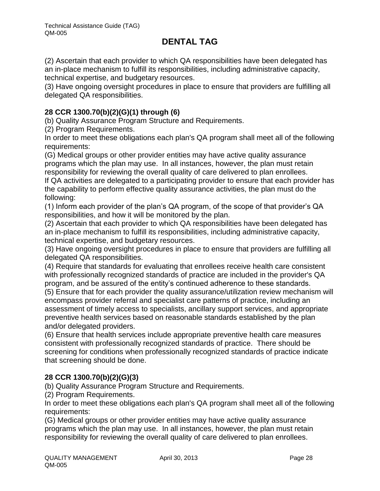(2) Ascertain that each provider to which QA responsibilities have been delegated has an in-place mechanism to fulfill its responsibilities, including administrative capacity, technical expertise, and budgetary resources.

(3) Have ongoing oversight procedures in place to ensure that providers are fulfilling all delegated QA responsibilities.

### **28 CCR 1300.70(b)(2)(G)(1) through (6)**

(b) Quality Assurance Program Structure and Requirements.

(2) Program Requirements.

In order to meet these obligations each plan's QA program shall meet all of the following requirements:

(G) Medical groups or other provider entities may have active quality assurance programs which the plan may use. In all instances, however, the plan must retain responsibility for reviewing the overall quality of care delivered to plan enrollees. If QA activities are delegated to a participating provider to ensure that each provider has the capability to perform effective quality assurance activities, the plan must do the following:

(1) Inform each provider of the plan's QA program, of the scope of that provider's QA responsibilities, and how it will be monitored by the plan.

(2) Ascertain that each provider to which QA responsibilities have been delegated has an in-place mechanism to fulfill its responsibilities, including administrative capacity, technical expertise, and budgetary resources.

(3) Have ongoing oversight procedures in place to ensure that providers are fulfilling all delegated QA responsibilities.

(4) Require that standards for evaluating that enrollees receive health care consistent with professionally recognized standards of practice are included in the provider's QA program, and be assured of the entity's continued adherence to these standards.

(5) Ensure that for each provider the quality assurance/utilization review mechanism will encompass provider referral and specialist care patterns of practice, including an assessment of timely access to specialists, ancillary support services, and appropriate preventive health services based on reasonable standards established by the plan and/or delegated providers.

(6) Ensure that health services include appropriate preventive health care measures consistent with professionally recognized standards of practice. There should be screening for conditions when professionally recognized standards of practice indicate that screening should be done.

### **28 CCR 1300.70(b)(2)(G)(3)**

(b) Quality Assurance Program Structure and Requirements.

(2) Program Requirements.

In order to meet these obligations each plan's QA program shall meet all of the following requirements:

(G) Medical groups or other provider entities may have active quality assurance programs which the plan may use. In all instances, however, the plan must retain responsibility for reviewing the overall quality of care delivered to plan enrollees.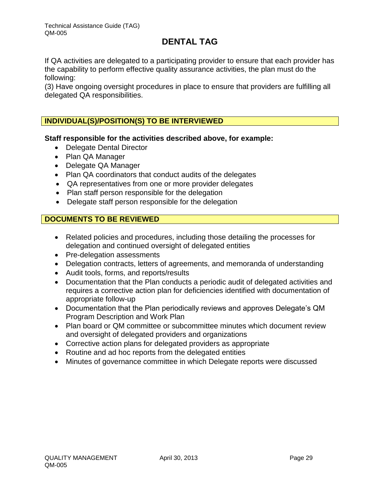If QA activities are delegated to a participating provider to ensure that each provider has the capability to perform effective quality assurance activities, the plan must do the following:

(3) Have ongoing oversight procedures in place to ensure that providers are fulfilling all delegated QA responsibilities.

### **INDIVIDUAL(S)/POSITION(S) TO BE INTERVIEWED**

**Staff responsible for the activities described above, for example:**

- Delegate Dental Director
- Plan QA Manager
- Delegate QA Manager
- Plan QA coordinators that conduct audits of the delegates
- QA representatives from one or more provider delegates
- Plan staff person responsible for the delegation
- Delegate staff person responsible for the delegation

### **DOCUMENTS TO BE REVIEWED**

- Related policies and procedures, including those detailing the processes for delegation and continued oversight of delegated entities
- Pre-delegation assessments
- Delegation contracts, letters of agreements, and memoranda of understanding
- Audit tools, forms, and reports/results
- Documentation that the Plan conducts a periodic audit of delegated activities and requires a corrective action plan for deficiencies identified with documentation of appropriate follow-up
- Documentation that the Plan periodically reviews and approves Delegate's QM Program Description and Work Plan
- Plan board or QM committee or subcommittee minutes which document review and oversight of delegated providers and organizations
- Corrective action plans for delegated providers as appropriate
- Routine and ad hoc reports from the delegated entities
- Minutes of governance committee in which Delegate reports were discussed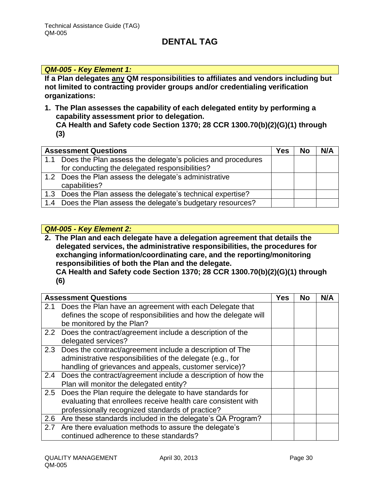### *QM-005 - Key Element 1:*

**If a Plan delegates any QM responsibilities to affiliates and vendors including but not limited to contracting provider groups and/or credentialing verification organizations:** 

- **1. The Plan assesses the capability of each delegated entity by performing a capability assessment prior to delegation. CA Health and Safety code Section 1370; 28 CCR 1300.70(b)(2)(G)(1) through** 
	- **(3)**

| <b>Assessment Questions</b> |                                                                 | Yes | <b>No</b> | N/A |
|-----------------------------|-----------------------------------------------------------------|-----|-----------|-----|
|                             | 1.1 Does the Plan assess the delegate's policies and procedures |     |           |     |
|                             | for conducting the delegated responsibilities?                  |     |           |     |
|                             | 1.2 Does the Plan assess the delegate's administrative          |     |           |     |
|                             | capabilities?                                                   |     |           |     |
|                             | 1.3 Does the Plan assess the delegate's technical expertise?    |     |           |     |
|                             | 1.4 Does the Plan assess the delegate's budgetary resources?    |     |           |     |

#### *QM-005 - Key Element 2:*

**2. The Plan and each delegate have a delegation agreement that details the delegated services, the administrative responsibilities, the procedures for exchanging information/coordinating care, and the reporting/monitoring responsibilities of both the Plan and the delegate. CA Health and Safety code Section 1370; 28 CCR 1300.70(b)(2)(G)(1) through (6)**

| <b>Assessment Questions</b> |                                                                                                                                                                                   | Yes | No | N/A |
|-----------------------------|-----------------------------------------------------------------------------------------------------------------------------------------------------------------------------------|-----|----|-----|
| 2.1                         | Does the Plan have an agreement with each Delegate that<br>defines the scope of responsibilities and how the delegate will<br>be monitored by the Plan?                           |     |    |     |
|                             | 2.2 Does the contract/agreement include a description of the<br>delegated services?                                                                                               |     |    |     |
| 2.3                         | Does the contract/agreement include a description of The<br>administrative responsibilities of the delegate (e.g., for<br>handling of grievances and appeals, customer service)?  |     |    |     |
| 2.4                         | Does the contract/agreement include a description of how the<br>Plan will monitor the delegated entity?                                                                           |     |    |     |
|                             | 2.5 Does the Plan require the delegate to have standards for<br>evaluating that enrollees receive health care consistent with<br>professionally recognized standards of practice? |     |    |     |
|                             | 2.6 Are these standards included in the delegate's QA Program?                                                                                                                    |     |    |     |
|                             | 2.7 Are there evaluation methods to assure the delegate's<br>continued adherence to these standards?                                                                              |     |    |     |